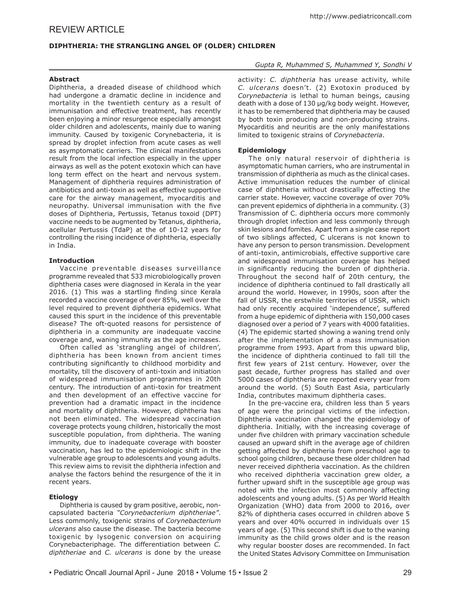# **DIPHTHERIA: THE STRANGLING ANGEL OF (OLDER) CHILDREN**

# **Abstract**

Diphtheria, a dreaded disease of childhood which had undergone a dramatic decline in incidence and mortality in the twentieth century as a result of immunisation and effective treatment, has recently been enjoying a minor resurgence especially amongst older children and adolescents, mainly due to waning immunity. Caused by toxigenic Corynebacteria, it is spread by droplet infection from acute cases as well as asymptomatic carriers. The clinical manifestations result from the local infection especially in the upper airways as well as the potent exotoxin which can have long term effect on the heart and nervous system. Management of diphtheria requires administration of antibiotics and anti-toxin as well as effective supportive care for the airway management, myocarditis and neuropathy. Universal immunisation with the five doses of Diphtheria, Pertussis, Tetanus toxoid (DPT) vaccine needs to be augmented by Tetanus, diphtheria, acellular Pertussis (TdaP) at the of 10-12 years for controlling the rising incidence of diphtheria, especially in India.

# **Introduction**

Vaccine preventable diseases surveillance programme revealed that 533 microbiologically proven diphtheria cases were diagnosed in Kerala in the year 2016. (1) This was a startling finding since Kerala recorded a vaccine coverage of over 85%, well over the level required to prevent diphtheria epidemics. What caused this spurt in the incidence of this preventable disease? The oft-quoted reasons for persistence of diphtheria in a community are inadequate vaccine coverage and, waning immunity as the age increases.

Often called as 'strangling angel of children', diphtheria has been known from ancient times contributing significantly to childhood morbidity and mortality, till the discovery of anti-toxin and initiation of widespread immunisation programmes in 20th century. The introduction of anti-toxin for treatment and then development of an effective vaccine for prevention had a dramatic impact in the incidence and mortality of diphtheria. However, diphtheria has not been eliminated. The widespread vaccination coverage protects young children, historically the most susceptible population, from diphtheria. The waning immunity, due to inadequate coverage with booster vaccination, has led to the epidemiologic shift in the vulnerable age group to adolescents and young adults. This review aims to revisit the diphtheria infection and analyse the factors behind the resurgence of the it in recent years.

# **Etiology**

Diphtheria is caused by gram positive, aerobic, noncapsulated bacteria *"Corynebacterium diphtheriae"*. Less commonly, toxigenic strains of *Corynebacterium ulcerans* also cause the disease. The bacteria become toxigenic by lysogenic conversion on acquiring Corynebacteriphage. The differentiation between *C. diphtheriae* and *C. ulcerans* is done by the urease

# *Gupta R, Muhammed S, Muhammed Y, Sondhi V*

activity: *C. diphtheria* has urease activity, while *C. ulcerans* doesn't. (2) Exotoxin produced by *Corynebacteria* is lethal to human beings, causing death with a dose of 130 µg/kg body weight. However, it has to be remembered that diphtheria may be caused by both toxin producing and non-producing strains. Myocarditis and neuritis are the only manifestations limited to toxigenic strains of *Corynebacteria*.

# **Epidemiology**

The only natural reservoir of diphtheria is asymptomatic human carriers, who are instrumental in transmission of diphtheria as much as the clinical cases. Active immunisation reduces the number of clinical case of diphtheria without drastically affecting the carrier state. However, vaccine coverage of over 70% can prevent epidemics of diphtheria in a community. (3) Transmission of C. diphtheria occurs more commonly through droplet infection and less commonly through skin lesions and fomites. Apart from a single case report of two siblings affected, C ulcerans is not known to have any person to person transmission. Development of anti-toxin, antimicrobials, effective supportive care and widespread immunisation coverage has helped in significantly reducing the burden of diphtheria. Throughout the second half of 20th century, the incidence of diphtheria continued to fall drastically all around the world. However, in 1990s, soon after the fall of USSR, the erstwhile territories of USSR, which had only recently acquired 'independence', suffered from a huge epidemic of diphtheria with 150,000 cases diagnosed over a period of 7 years with 4000 fatalities. (4) The epidemic started showing a waning trend only after the implementation of a mass immunisation programme from 1993. Apart from this upward blip, the incidence of diphtheria continued to fall till the first few years of 21st century. However, over the past decade, further progress has stalled and over 5000 cases of diphtheria are reported every year from around the world. (5) South East Asia, particularly India, contributes maximum diphtheria cases.

In the pre-vaccine era, children less than 5 years of age were the principal victims of the infection. Diphtheria vaccination changed the epidemiology of diphtheria. Initially, with the increasing coverage of under five children with primary vaccination schedule caused an upward shift in the average age of children getting affected by diphtheria from preschool age to school going children, because these older children had never received diphtheria vaccination. As the children who received diphtheria vaccination grew older, a further upward shift in the susceptible age group was noted with the infection most commonly affecting adolescents and young adults. (5) As per World Health Organization (WHO) data from 2000 to 2016, over 82% of diphtheria cases occurred in children above 5 years and over 40% occurred in individuals over 15 years of age. (5) This second shift is due to the waning immunity as the child grows older and is the reason why regular booster doses are recommended. In fact the United States Advisory Committee on Immunisation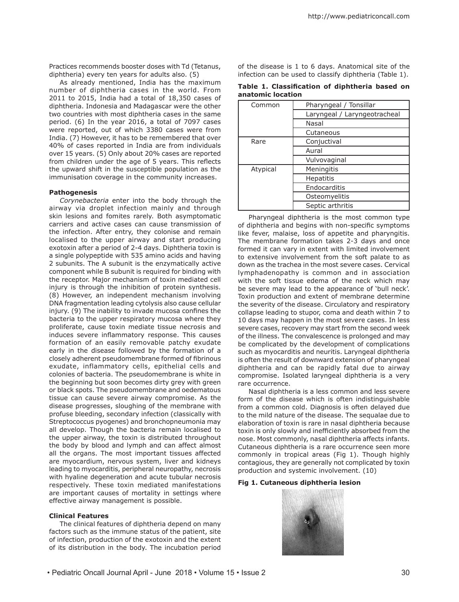Practices recommends booster doses with Td (Tetanus, diphtheria) every ten years for adults also. (5)

As already mentioned, India has the maximum number of diphtheria cases in the world. From 2011 to 2015, India had a total of 18,350 cases of diphtheria. Indonesia and Madagascar were the other two countries with most diphtheria cases in the same period. (6) In the year 2016, a total of 7097 cases were reported, out of which 3380 cases were from India. (7) However, it has to be remembered that over 40% of cases reported in India are from individuals over 15 years. (5) Only about 20% cases are reported from children under the age of 5 years. This reflects the upward shift in the susceptible population as the immunisation coverage in the community increases.

### **Pathogenesis**

*Corynebacteria* enter into the body through the airway via droplet infection mainly and through skin lesions and fomites rarely. Both asymptomatic carriers and active cases can cause transmission of the infection. After entry, they colonise and remain localised to the upper airway and start producing exotoxin after a period of 2-4 days. Diphtheria toxin is a single polypeptide with 535 amino acids and having 2 subunits. The A subunit is the enzymatically active component while B subunit is required for binding with the receptor. Major mechanism of toxin mediated cell injury is through the inhibition of protein synthesis. (8) However, an independent mechanism involving DNA fragmentation leading cytolysis also cause cellular injury. (9) The inability to invade mucosa confines the bacteria to the upper respiratory mucosa where they proliferate, cause toxin mediate tissue necrosis and induces severe inflammatory response. This causes formation of an easily removable patchy exudate early in the disease followed by the formation of a closely adherent pseudomembrane formed of fibrinous exudate, inflammatory cells, epithelial cells and colonies of bacteria. The pseudomembrane is white in the beginning but soon becomes dirty grey with green or black spots. The pseudomembrane and oedematous tissue can cause severe airway compromise. As the disease progresses, sloughing of the membrane with profuse bleeding, secondary infection (classically with Streptococcus pyogenes) and bronchopneumonia may all develop. Though the bacteria remain localised to the upper airway, the toxin is distributed throughout the body by blood and lymph and can affect almost all the organs. The most important tissues affected are myocardium, nervous system, liver and kidneys leading to myocarditis, peripheral neuropathy, necrosis with hyaline degeneration and acute tubular necrosis respectively. These toxin mediated manifestations are important causes of mortality in settings where effective airway management is possible.

### **Clinical Features**

The clinical features of diphtheria depend on many factors such as the immune status of the patient, site of infection, production of the exotoxin and the extent of its distribution in the body. The incubation period

of the disease is 1 to 6 days. Anatomical site of the infection can be used to classify diphtheria (Table 1).

**Table 1. Classification of diphtheria based on anatomic location**

| Common   | Pharyngeal / Tonsillar       |
|----------|------------------------------|
|          | Laryngeal / Laryngeotracheal |
|          | Nasal                        |
|          | Cutaneous                    |
| Rare     | Conjuctival                  |
|          | Aural                        |
|          | Vulvovaginal                 |
| Atypical | Meningitis                   |
|          | <b>Hepatitis</b>             |
|          | Endocarditis                 |
|          | Osteomyelitis                |
|          | Septic arthritis             |

Pharyngeal diphtheria is the most common type of diphtheria and begins with non-specific symptoms like fever, malaise, loss of appetite and pharyngitis. The membrane formation takes 2-3 days and once formed it can vary in extent with limited involvement to extensive involvement from the soft palate to as down as the trachea in the most severe cases. Cervical lymphadenopathy is common and in association with the soft tissue edema of the neck which may be severe may lead to the appearance of 'bull neck'. Toxin production and extent of membrane determine the severity of the disease. Circulatory and respiratory collapse leading to stupor, coma and death within 7 to 10 days may happen in the most severe cases. In less severe cases, recovery may start from the second week of the illness. The convalescence is prolonged and may be complicated by the development of complications such as myocarditis and neuritis. Laryngeal diphtheria is often the result of downward extension of pharyngeal diphtheria and can be rapidly fatal due to airway compromise. Isolated laryngeal diphtheria is a very rare occurrence.

Nasal diphtheria is a less common and less severe form of the disease which is often indistinguishable from a common cold. Diagnosis is often delayed due to the mild nature of the disease. The sequalae due to elaboration of toxin is rare in nasal diphtheria because toxin is only slowly and inefficiently absorbed from the nose. Most commonly, nasal diphtheria affects infants. Cutaneous diphtheria is a rare occurrence seen more commonly in tropical areas (Fig 1). Though highly contagious, they are generally not complicated by toxin production and systemic involvement. (10)

### **Fig 1. Cutaneous diphtheria lesion**

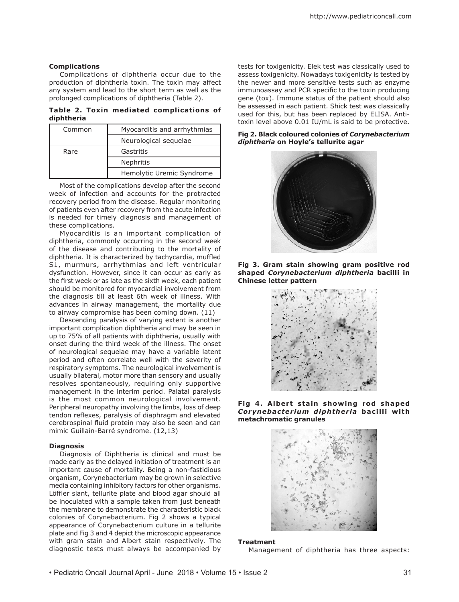## **Complications**

Complications of diphtheria occur due to the production of diphtheria toxin. The toxin may affect any system and lead to the short term as well as the prolonged complications of diphtheria (Table 2).

**Table 2. Toxin mediated complications of diphtheria**

| Common | Myocarditis and arrhythmias |
|--------|-----------------------------|
|        | Neurological sequelae       |
| Rare   | Gastritis                   |
|        | Nephritis                   |
|        | Hemolytic Uremic Syndrome   |

Most of the complications develop after the second week of infection and accounts for the protracted recovery period from the disease. Regular monitoring of patients even after recovery from the acute infection is needed for timely diagnosis and management of these complications.

Myocarditis is an important complication of diphtheria, commonly occurring in the second week of the disease and contributing to the mortality of diphtheria. It is characterized by tachycardia, muffled S1, murmurs, arrhythmias and left ventricular dysfunction. However, since it can occur as early as the first week or as late as the sixth week, each patient should be monitored for myocardial involvement from the diagnosis till at least 6th week of illness. With advances in airway management, the mortality due to airway compromise has been coming down. (11)

Descending paralysis of varying extent is another important complication diphtheria and may be seen in up to 75% of all patients with diphtheria, usually with onset during the third week of the illness. The onset of neurological sequelae may have a variable latent period and often correlate well with the severity of respiratory symptoms. The neurological involvement is usually bilateral, motor more than sensory and usually resolves spontaneously, requiring only supportive management in the interim period. Palatal paralysis is the most common neurological involvement. Peripheral neuropathy involving the limbs, loss of deep tendon reflexes, paralysis of diaphragm and elevated cerebrospinal fluid protein may also be seen and can mimic Guillain-Barré syndrome. (12,13)

### **Diagnosis**

Diagnosis of Diphtheria is clinical and must be made early as the delayed initiation of treatment is an important cause of mortality. Being a non-fastidious organism, Corynebacterium may be grown in selective media containing inhibitory factors for other organisms. Löffler slant, tellurite plate and blood agar should all be inoculated with a sample taken from just beneath the membrane to demonstrate the characteristic black colonies of Corynebacterium. Fig 2 shows a typical appearance of Corynebacterium culture in a tellurite plate and Fig 3 and 4 depict the microscopic appearance with gram stain and Albert stain respectively. The diagnostic tests must always be accompanied by tests for toxigenicity. Elek test was classically used to assess toxigenicity. Nowadays toxigenicity is tested by the newer and more sensitive tests such as enzyme immunoassay and PCR specific to the toxin producing gene (tox). Immune status of the patient should also be assessed in each patient. Shick test was classically used for this, but has been replaced by ELISA. Antitoxin level above 0.01 IU/mL is said to be protective.

**Fig 2. Black coloured colonies of** *Corynebacterium diphtheria* **on Hoyle's tellurite agar**











### **Treatment**

Management of diphtheria has three aspects: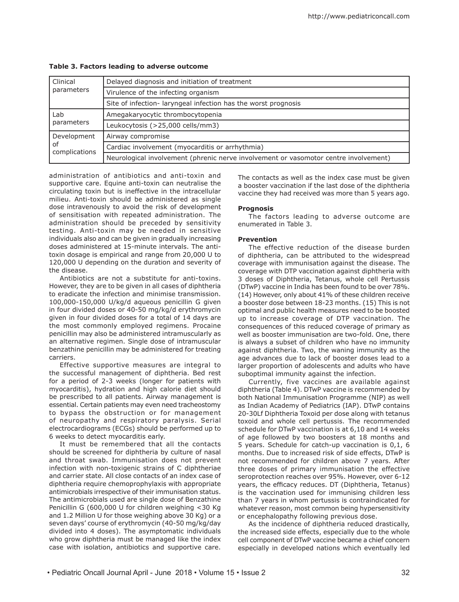| Clinical<br>parameters | Delayed diagnosis and initiation of treatment                                        |  |
|------------------------|--------------------------------------------------------------------------------------|--|
|                        | Virulence of the infecting organism                                                  |  |
|                        | Site of infection- laryngeal infection has the worst prognosis                       |  |
| Lab<br>parameters      | Amegakaryocytic thrombocytopenia                                                     |  |
|                        | Leukocytosis (>25,000 cells/mm3)                                                     |  |
| Development            | Airway compromise                                                                    |  |
| οf<br>complications    | Cardiac involvement (myocarditis or arrhythmia)                                      |  |
|                        | Neurological involvement (phrenic nerve involvement or vasomotor centre involvement) |  |

# **Table 3. Factors leading to adverse outcome**

administration of antibiotics and anti-toxin and supportive care. Equine anti-toxin can neutralise the circulating toxin but is ineffective in the intracellular milieu. Anti-toxin should be administered as single dose intravenously to avoid the risk of development of sensitisation with repeated administration. The administration should be preceded by sensitivity testing. Anti-toxin may be needed in sensitive individuals also and can be given in gradually increasing doses administered at 15-minute intervals. The antitoxin dosage is empirical and range from 20,000 U to 120,000 U depending on the duration and severity of the disease.

Antibiotics are not a substitute for anti-toxins. However, they are to be given in all cases of diphtheria to eradicate the infection and minimise transmission. 100,000-150,000 U/kg/d aqueous penicillin G given in four divided doses or 40-50 mg/kg/d erythromycin given in four divided doses for a total of 14 days are the most commonly employed regimens. Procaine penicillin may also be administered intramuscularly as an alternative regimen. Single dose of intramuscular benzathine penicillin may be administered for treating carriers.

Effective supportive measures are integral to the successful management of diphtheria. Bed rest for a period of 2-3 weeks (longer for patients with myocarditis), hydration and high calorie diet should be prescribed to all patients. Airway management is essential. Certain patients may even need tracheostomy to bypass the obstruction or for management of neuropathy and respiratory paralysis. Serial electrocardiograms (ECGs) should be performed up to 6 weeks to detect myocarditis early.

It must be remembered that all the contacts should be screened for diphtheria by culture of nasal and throat swab. Immunisation does not prevent infection with non-toxigenic strains of C diphtheriae and carrier state. All close contacts of an index case of diphtheria require chemoprophylaxis with appropriate antimicrobials irrespective of their immunisation status. The antimicrobials used are single dose of Benzathine Penicillin G (600,000 U for children weighing <30 Kg and 1.2 Million U for those weighing above 30 Kg) or a seven days' course of erythromycin (40-50 mg/kg/day divided into 4 doses). The asymptomatic individuals who grow diphtheria must be managed like the index case with isolation, antibiotics and supportive care.

The contacts as well as the index case must be given a booster vaccination if the last dose of the diphtheria vaccine they had received was more than 5 years ago.

### **Prognosis**

The factors leading to adverse outcome are enumerated in Table 3.

### **Prevention**

The effective reduction of the disease burden of diphtheria, can be attributed to the widespread coverage with immunisation against the disease. The coverage with DTP vaccination against diphtheria with 3 doses of Diphtheria, Tetanus, whole cell Pertussis (DTwP) vaccine in India has been found to be over 78%. (14) However, only about 41% of these children receive a booster dose between 18-23 months. (15) This is not optimal and public health measures need to be boosted up to increase coverage of DTP vaccination. The consequences of this reduced coverage of primary as well as booster immunisation are two-fold. One, there is always a subset of children who have no immunity against diphtheria. Two, the waning immunity as the age advances due to lack of booster doses lead to a larger proportion of adolescents and adults who have suboptimal immunity against the infection.

Currently, five vaccines are available against diphtheria (Table 4). DTwP vaccine is recommended by both National Immunisation Programme (NIP) as well as Indian Academy of Pediatrics (IAP). DTwP contains 20-30Lf Diphtheria Toxoid per dose along with tetanus toxoid and whole cell pertussis. The recommended schedule for DTwP vaccination is at 6,10 and 14 weeks of age followed by two boosters at 18 months and 5 years. Schedule for catch-up vaccination is 0,1, 6 months. Due to increased risk of side effects, DTwP is not recommended for children above 7 years. After three doses of primary immunisation the effective seroprotection reaches over 95%. However, over 6-12 years, the efficacy reduces. DT (Diphtheria, Tetanus) is the vaccination used for immunising children less than 7 years in whom pertussis is contraindicated for whatever reason, most common being hypersensitivity or encephalopathy following previous dose.

As the incidence of diphtheria reduced drastically, the increased side effects, especially due to the whole cell component of DTwP vaccine became a chief concern especially in developed nations which eventually led